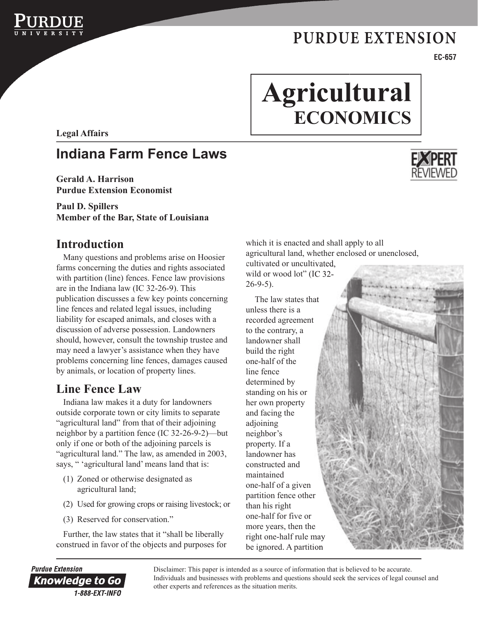

# **Agricultural ECONOMICS**

**Legal Affairs**

# **Indiana Farm Fence Laws**

**Gerald A. Harrison Purdue Extension Economist** 

#### **Paul D. Spillers Member of the Bar, State of Louisiana**

## **Introduction**

Many questions and problems arise on Hoosier farms concerning the duties and rights associated with partition (line) fences. Fence law provisions are in the Indiana law (IC 32-26-9). This publication discusses a few key points concerning line fences and related legal issues, including liability for escaped animals, and closes with a discussion of adverse possession. Landowners should, however, consult the township trustee and may need a lawyer's assistance when they have problems concerning line fences, damages caused by animals, or location of property lines.

## **Line Fence Law**

Indiana law makes it a duty for landowners outside corporate town or city limits to separate "agricultural land" from that of their adjoining neighbor by a partition fence (IC 32-26-9-2)—but only if one or both of the adjoining parcels is "agricultural land." The law, as amended in 2003, says, "'agricultural land' means land that is:

- (1) Zoned or otherwise designated as agricultural land;
- (2) Used for growing crops or raising livestock; or
- (3) Reserved for conservation."

Further, the law states that it "shall be liberally construed in favor of the objects and purposes for which it is enacted and shall apply to all agricultural land, whether enclosed or unenclosed, cultivated or uncultivated, wild or wood lot" (IC 32-26-9-5).

 The law states that unless there is a recorded agreement to the contrary, a landowner shall build the right one-half of the line fence determined by standing on his or her own property and facing the adjoining neighbor's property. If a landowner has constructed and maintained one-half of a given partition fence other than his right one-half for five or more years, then the right one-half rule may be ignored. A partition



**EC-657**



**Purdue Extension** Knowledge to Go 1-888-EXT-INFO

Disclaimer: This paper is intended as a source of information that is believed to be accurate. Individuals and businesses with problems and questions should seek the services of legal counsel and other experts and references as the situation merits.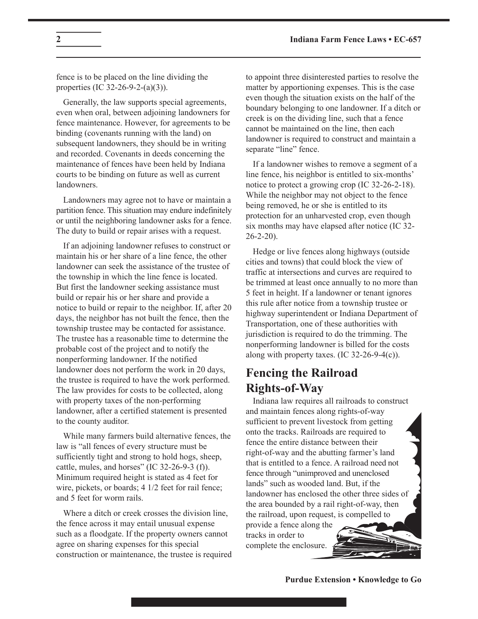fence is to be placed on the line dividing the properties (IC 32-26-9-2-(a)(3)).

Generally, the law supports special agreements, even when oral, between adjoining landowners for fence maintenance. However, for agreements to be binding (covenants running with the land) on subsequent landowners, they should be in writing and recorded. Covenants in deeds concerning the maintenance of fences have been held by Indiana courts to be binding on future as well as current landowners.

Landowners may agree not to have or maintain a partition fence. This situation may endure indefinitely or until the neighboring landowner asks for a fence. The duty to build or repair arises with a request.

If an adjoining landowner refuses to construct or maintain his or her share of a line fence, the other landowner can seek the assistance of the trustee of the township in which the line fence is located. But first the landowner seeking assistance must build or repair his or her share and provide a notice to build or repair to the neighbor. If, after 20 days, the neighbor has not built the fence, then the township trustee may be contacted for assistance. The trustee has a reasonable time to determine the probable cost of the project and to notify the nonperforming landowner. If the notified landowner does not perform the work in 20 days, the trustee is required to have the work performed. The law provides for costs to be collected, along with property taxes of the non-performing landowner, after a certified statement is presented to the county auditor.

While many farmers build alternative fences, the law is "all fences of every structure must be sufficiently tight and strong to hold hogs, sheep, cattle, mules, and horses" (IC 32-26-9-3 (f)). Minimum required height is stated as 4 feet for wire, pickets, or boards; 4  $1/2$  feet for rail fence; and 5 feet for worm rails.

Where a ditch or creek crosses the division line, the fence across it may entail unusual expense such as a floodgate. If the property owners cannot agree on sharing expenses for this special construction or maintenance, the trustee is required to appoint three disinterested parties to resolve the matter by apportioning expenses. This is the case even though the situation exists on the half of the boundary belonging to one landowner. If a ditch or creek is on the dividing line, such that a fence cannot be maintained on the line, then each landowner is required to construct and maintain a separate "line" fence.

If a landowner wishes to remove a segment of a line fence, his neighbor is entitled to six-months' notice to protect a growing crop (IC 32-26-2-18). While the neighbor may not object to the fence being removed, he or she is entitled to its protection for an unharvested crop, even though six months may have elapsed after notice (IC 32- 26-2-20).

Hedge or live fences along highways (outside cities and towns) that could block the view of traffic at intersections and curves are required to be trimmed at least once annually to no more than 5 feet in height. If a landowner or tenant ignores this rule after notice from a township trustee or highway superintendent or Indiana Department of Transportation, one of these authorities with jurisdiction is required to do the trimming. The nonperforming landowner is billed for the costs along with property taxes. (IC 32-26-9-4(c)).

### **Fencing the Railroad Rights-of-Way**

Indiana law requires all railroads to construct and maintain fences along rights-of-way sufficient to prevent livestock from getting onto the tracks. Railroads are required to fence the entire distance between their right-of-way and the abutting farmer's land that is entitled to a fence. A railroad need not fence through "unimproved and unenclosed lands" such as wooded land. But, if the landowner has enclosed the other three sides of the area bounded by a rail right-of-way, then the railroad, upon request, is compelled to

provide a fence along the tracks in order to complete the enclosure.

**Purdue Extension • Knowledge to Go**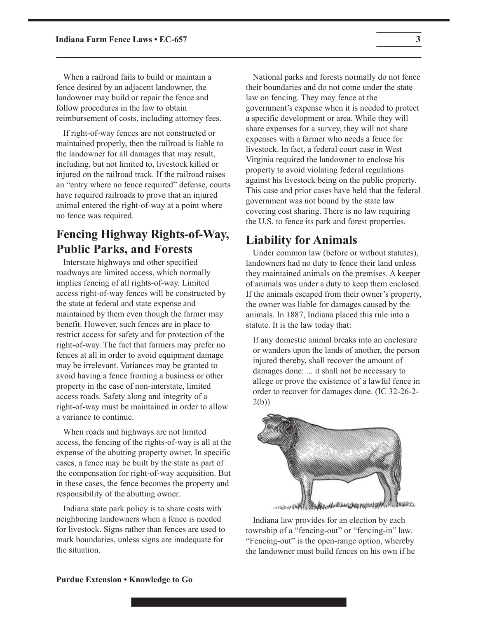When a railroad fails to build or maintain a fence desired by an adjacent landowner, the landowner may build or repair the fence and follow procedures in the law to obtain reimbursement of costs, including attorney fees.

If right-of-way fences are not constructed or maintained properly, then the railroad is liable to the landowner for all damages that may result, including, but not limited to, livestock killed or injured on the railroad track. If the railroad raises an "entry where no fence required" defense, courts have required railroads to prove that an injured animal entered the right-of-way at a point where no fence was required.

## **Fencing Highway Rights-of-Way, Public Parks, and Forests**

Interstate highways and other specified roadways are limited access, which normally implies fencing of all rights-of-way. Limited access right-of-way fences will be constructed by the state at federal and state expense and maintained by them even though the farmer may benefit. However, such fences are in place to restrict access for safety and for protection of the right-of-way. The fact that farmers may prefer no fences at all in order to avoid equipment damage may be irrelevant. Variances may be granted to avoid having a fence fronting a business or other property in the case of non-interstate, limited access roads. Safety along and integrity of a right-of-way must be maintained in order to allow a variance to continue.

When roads and highways are not limited access, the fencing of the rights-of-way is all at the expense of the abutting property owner. In specific cases, a fence may be built by the state as part of the compensation for right-of-way acquisition. But in these cases, the fence becomes the property and responsibility of the abutting owner.

Indiana state park policy is to share costs with neighboring landowners when a fence is needed for livestock. Signs rather than fences are used to mark boundaries, unless signs are inadequate for the situation.

National parks and forests normally do not fence their boundaries and do not come under the state law on fencing. They may fence at the government's expense when it is needed to protect a specific development or area. While they will share expenses for a survey, they will not share expenses with a farmer who needs a fence for livestock. In fact, a federal court case in West Virginia required the landowner to enclose his property to avoid violating federal regulations against his livestock being on the public property. This case and prior cases have held that the federal government was not bound by the state law covering cost sharing. There is no law requiring the U.S. to fence its park and forest properties.

#### **Liability for Animals**

Under common law (before or without statutes), landowners had no duty to fence their land unless they maintained animals on the premises. A keeper of animals was under a duty to keep them enclosed. If the animals escaped from their owner's property, the owner was liable for damages caused by the animals. In 1887, Indiana placed this rule into a statute. It is the law today that:

If any domestic animal breaks into an enclosure or wanders upon the lands of another, the person injured thereby, shall recover the amount of damages done: ... it shall not be necessary to allege or prove the existence of a lawful fence in order to recover for damages done. (IC 32-26-2- 2(b))



Indiana law provides for an election by each township of a "fencing-out" or "fencing-in" law. "Fencing-out" is the open-range option, whereby the landowner must build fences on his own if he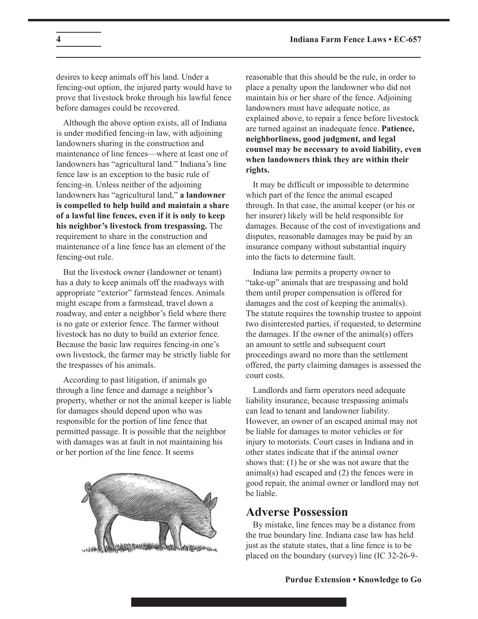desires to keep animals off his land. Under a fencing-out option, the injured party would have to prove that livestock broke through his lawful fence before damages could be recovered.

Although the above option exists, all of Indiana is under modified fencing-in law, with adjoining landowners sharing in the construction and maintenance of line fences—where at least one of landowners has "agricultural land." Indiana's line fence law is an exception to the basic rule of fencing-in. Unless neither of the adjoining landowners has "agricultural land," **a landowner is compelled to help build and maintain a share of a lawful line fences, even if it is only to keep his neighbor's livestock from trespassing.** The requirement to share in the construction and maintenance of a line fence has an element of the fencing-out rule.

But the livestock owner (landowner or tenant) has a duty to keep animals off the roadways with appropriate "exterior" farmstead fences. Animals might escape from a farmstead, travel down a roadway, and enter a neighbor's field where there is no gate or exterior fence. The farmer without livestock has no duty to build an exterior fence. Because the basic law requires fencing-in one's own livestock, the farmer may be strictly liable for the trespasses of his animals.

According to past litigation, if animals go through a line fence and damage a neighbor's property, whether or not the animal keeper is liable for damages should depend upon who was responsible for the portion of line fence that permitted passage. It is possible that the neighbor with damages was at fault in not maintaining his or her portion of the line fence. It seems



reasonable that this should be the rule, in order to place a penalty upon the landowner who did not maintain his or her share of the fence. Adjoining landowners must have adequate notice, as explained above, to repair a fence before livestock are turned against an inadequate fence. **Patience, neighborliness, good judgment, and legal counsel may be necessary to avoid liability, even when landowners think they are within their rights.**

It may be difficult or impossible to determine which part of the fence the animal escaped through. In that case, the animal keeper (or his or her insurer) likely will be held responsible for damages. Because of the cost of investigations and disputes, reasonable damages may be paid by an insurance company without substantial inquiry into the facts to determine fault.

Indiana law permits a property owner to "take-up" animals that are trespassing and hold them until proper compensation is offered for damages and the cost of keeping the animal(s). The statute requires the township trustee to appoint two disinterested parties, if requested, to determine the damages. If the owner of the animal(s) offers an amount to settle and subsequent court proceedings award no more than the settlement offered, the party claiming damages is assessed the court costs.

Landlords and farm operators need adequate liability insurance, because trespassing animals can lead to tenant and landowner liability. However, an owner of an escaped animal may not be liable for damages to motor vehicles or for injury to motorists. Court cases in Indiana and in other states indicate that if the animal owner shows that: (1) he or she was not aware that the animal(s) had escaped and (2) the fences were in good repair, the animal owner or landlord may not be liable.

#### **Adverse Possession**

By mistake, line fences may be a distance from the true boundary line. Indiana case law has held just as the statute states, that a line fence is to be placed on the boundary (survey) line (IC 32-26-9-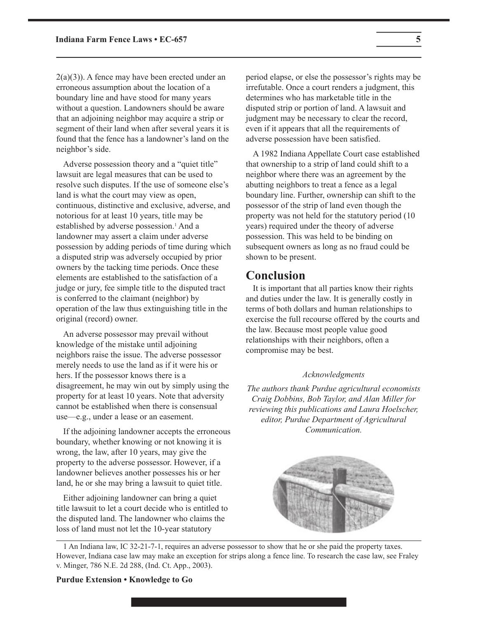$2(a)(3)$ ). A fence may have been erected under an erroneous assumption about the location of a boundary line and have stood for many years without a question. Landowners should be aware that an adjoining neighbor may acquire a strip or segment of their land when after several years it is found that the fence has a landowner's land on the neighbor's side.

Adverse possession theory and a "quiet title" lawsuit are legal measures that can be used to resolve such disputes. If the use of someone else's land is what the court may view as open, continuous, distinctive and exclusive, adverse, and notorious for at least 10 years, title may be established by adverse possession.<sup>1</sup> And a landowner may assert a claim under adverse possession by adding periods of time during which a disputed strip was adversely occupied by prior owners by the tacking time periods. Once these elements are established to the satisfaction of a judge or jury, fee simple title to the disputed tract is conferred to the claimant (neighbor) by operation of the law thus extinguishing title in the original (record) owner.

An adverse possessor may prevail without knowledge of the mistake until adjoining neighbors raise the issue. The adverse possessor merely needs to use the land as if it were his or hers. If the possessor knows there is a disagreement, he may win out by simply using the property for at least 10 years. Note that adversity cannot be established when there is consensual use—e.g., under a lease or an easement.

If the adjoining landowner accepts the erroneous boundary, whether knowing or not knowing it is wrong, the law, after 10 years, may give the property to the adverse possessor. However, if a landowner believes another possesses his or her land, he or she may bring a lawsuit to quiet title.

Either adjoining landowner can bring a quiet title lawsuit to let a court decide who is entitled to the disputed land. The landowner who claims the loss of land must not let the 10-year statutory

period elapse, or else the possessor's rights may be irrefutable. Once a court renders a judgment, this determines who has marketable title in the disputed strip or portion of land. A lawsuit and judgment may be necessary to clear the record, even if it appears that all the requirements of adverse possession have been satisfied.

A 1982 Indiana Appellate Court case established that ownership to a strip of land could shift to a neighbor where there was an agreement by the abutting neighbors to treat a fence as a legal boundary line. Further, ownership can shift to the possessor of the strip of land even though the property was not held for the statutory period (10 years) required under the theory of adverse possession. This was held to be binding on subsequent owners as long as no fraud could be shown to be present.

#### **Conclusion**

It is important that all parties know their rights and duties under the law. It is generally costly in terms of both dollars and human relationships to exercise the full recourse offered by the courts and the law. Because most people value good relationships with their neighbors, often a compromise may be best.

#### *Acknowledgments*

*The authors thank Purdue agricultural economists Craig Dobbins, Bob Taylor, and Alan Miller for reviewing this publications and Laura Hoelscher, editor, Purdue Department of Agricultural Communication.*



1 An Indiana law, IC 32-21-7-1, requires an adverse possessor to show that he or she paid the property taxes. However, Indiana case law may make an exception for strips along a fence line. To research the case law, see Fraley v. Minger, 786 N.E. 2d 288, (Ind. Ct. App., 2003).

**Purdue Extension • Knowledge to Go**